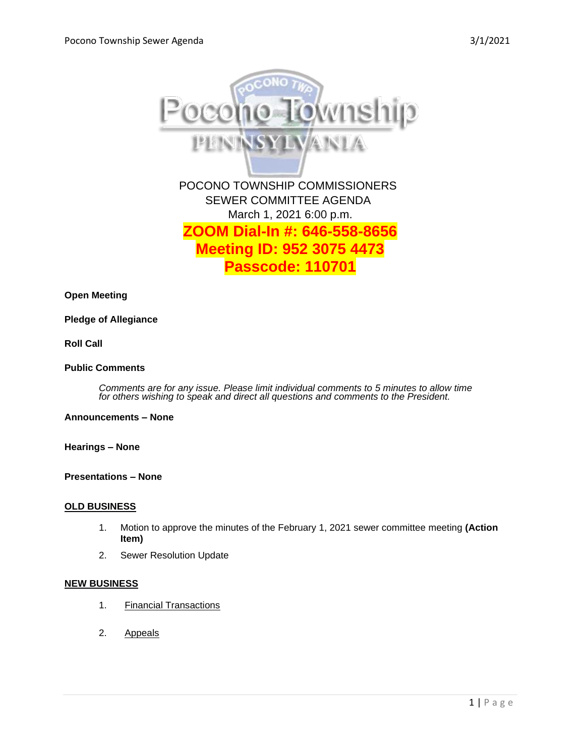

**Open Meeting**

### **Pledge of Allegiance**

**Roll Call**

### **Public Comments**

*Comments are for any issue. Please limit individual comments to 5 minutes to allow time for others wishing to speak and direct all questions and comments to the President.* 

### **Announcements – None**

**Hearings – None** 

**Presentations – None** 

#### **OLD BUSINESS**

- 1. Motion to approve the minutes of the February 1, 2021 sewer committee meeting **(Action Item)**
- 2. Sewer Resolution Update

## **NEW BUSINESS**

- 1. Financial Transactions
- 2. Appeals